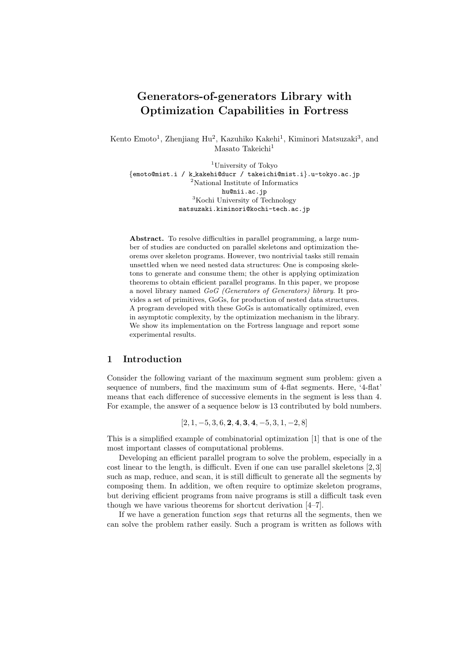# **Generators-of-generators Library with Optimization Capabilities in Fortress**

Kento Emoto<sup>1</sup>, Zhenjiang Hu<sup>2</sup>, Kazuhiko Kakehi<sup>1</sup>, Kiminori Matsuzaki<sup>3</sup>, and Masato Takeichi<sup>1</sup>

<sup>1</sup>University of Tokyo *{*emoto@mist.i / k kakehi@ducr / takeichi@mist.i*}*.u-tokyo.ac.jp <sup>2</sup>National Institute of Informatics hu@nii.ac.jp <sup>3</sup>Kochi University of Technology matsuzaki.kiminori@kochi-tech.ac.jp

Abstract. To resolve difficulties in parallel programming, a large number of studies are conducted on parallel skeletons and optimization theorems over skeleton programs. However, two nontrivial tasks still remain unsettled when we need nested data structures: One is composing skeletons to generate and consume them; the other is applying optimization theorems to obtain efficient parallel programs. In this paper, we propose a novel library named *GoG (Generators of Generators) library*. It provides a set of primitives, GoGs, for production of nested data structures. A program developed with these GoGs is automatically optimized, even in asymptotic complexity, by the optimization mechanism in the library. We show its implementation on the Fortress language and report some experimental results.

## **1 Introduction**

Consider the following variant of the maximum segment sum problem: given a sequence of numbers, find the maximum sum of 4-flat segments. Here, '4-flat' means that each difference of successive elements in the segment is less than 4. For example, the answer of a sequence below is 13 contributed by bold numbers.

[2*,* 1*, −*5*,* 3*,* 6*,* **2***,* **4***,* **3***,* **4***, −*5*,* 3*,* 1*, −*2*,* 8]

This is a simplified example of combinatorial optimization [1] that is one of the most important classes of computational problems.

Developing an efficient parallel program to solve the problem, especially in a cost linear to the length, is difficult. Even if one can use parallel skeletons [2, 3] such as map, reduce, and scan, it is still difficult to generate all the segments by composing them. In addition, we often require to optimize skeleton programs, but deriving efficient programs from naive programs is still a difficult task even though we have various theorems for shortcut derivation [4–7].

If we have a generation function *segs* that returns all the segments, then we can solve the problem rather easily. Such a program is written as follows with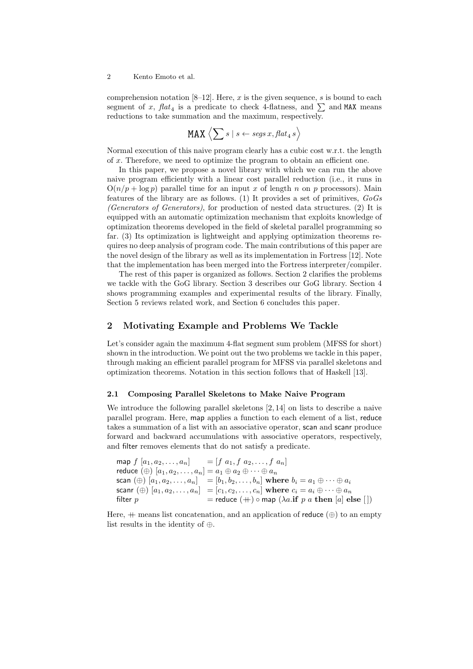comprehension notation  $[8-12]$ . Here, x is the given sequence, s is bound to each segment of *x*,  $flat_4$  is a predicate to check 4-flatness, and  $\sum$  and MAX means reductions to take summation and the maximum, respectively.

$$
\texttt{MAX} \left\langle \sum s \mid s \leftarrow \textit{segs}\, x, \textit{flat}_4\, s \right\rangle
$$

Normal execution of this naive program clearly has a cubic cost w.r.t. the length of *x*. Therefore, we need to optimize the program to obtain an efficient one.

In this paper, we propose a novel library with which we can run the above naive program efficiently with a linear cost parallel reduction (i.e., it runs in  $O(n/p + \log p)$  parallel time for an input *x* of length *n* on *p* processors). Main features of the library are as follows. (1) It provides a set of primitives, *GoGs (Generators of Generators)*, for production of nested data structures. (2) It is equipped with an automatic optimization mechanism that exploits knowledge of optimization theorems developed in the field of skeletal parallel programming so far. (3) Its optimization is lightweight and applying optimization theorems requires no deep analysis of program code. The main contributions of this paper are the novel design of the library as well as its implementation in Fortress [12]. Note that the implementation has been merged into the Fortress interpreter/compiler.

The rest of this paper is organized as follows. Section 2 clarifies the problems we tackle with the GoG library. Section 3 describes our GoG library. Section 4 shows programming examples and experimental results of the library. Finally, Section 5 reviews related work, and Section 6 concludes this paper.

## **2 Motivating Example and Problems We Tackle**

Let's consider again the maximum 4-flat segment sum problem (MFSS for short) shown in the introduction. We point out the two problems we tackle in this paper, through making an efficient parallel program for MFSS via parallel skeletons and optimization theorems. Notation in this section follows that of Haskell [13].

#### **2.1 Composing Parallel Skeletons to Make Naive Program**

We introduce the following parallel skeletons [2, 14] on lists to describe a naive parallel program. Here, map applies a function to each element of a list, reduce takes a summation of a list with an associative operator, scan and scanr produce forward and backward accumulations with associative operators, respectively, and filter removes elements that do not satisfy a predicate.

```
\text{map } f [a_1, a_2, \ldots, a_n] = [f a_1, f a_2, \ldots, f a_n]reduce (\oplus) [a_1, a_2, \ldots, a_n] = a_1 \oplus a_2 \oplus \cdots \oplus a_nscan (\oplus) [a_1, a_2, \ldots, a_n] = [b_1, b_2, \ldots, b_n] where b_i = a_1 \oplus \cdots \oplus a_i\text{scann} \left( \oplus \right) [a_1, a_2, \dots, a_n] = [c_1, c_2, \dots, c_n] \text{ where } c_i = a_i \oplus \dots \oplus a_n\mathbf{f} = reduce (+) \circ \mathbf{map} (\lambda a. \mathbf{if} \ p \ a \ \mathbf{then} \ [a] \ \mathbf{else} \ [1]
```
Here,  $+$  means list concatenation, and an application of reduce  $(\oplus)$  to an empty list results in the identity of *⊕*.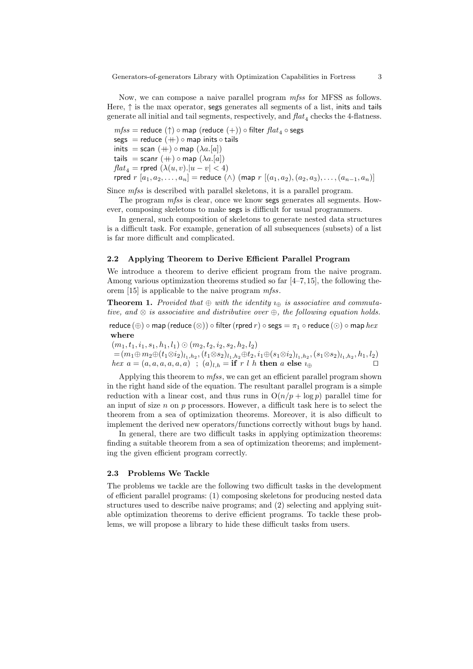Now, we can compose a naive parallel program *mfss* for MFSS as follows. Here, *↑* is the max operator, segs generates all segments of a list, inits and tails generate all initial and tail segments, respectively, and  $\text{flat}_4$  checks the 4-flatness.

 $mfss$  = reduce ( $\uparrow$ )  $\circ$  map (reduce  $(+)$ )  $\circ$  filter  $flat_4 \circ$  segs segs = reduce (++) *◦* map inits *◦* tails  $\text{inits} = \text{scan } (+) \circ \text{map } (\lambda a. [a])$ tails = scanr  $(+) \circ$  map  $(\lambda a. [a])$  $flat_4$  = rpred  $(\lambda(u, v).|u - v| < 4)$  $r$   $r$   $r$   $a_1, a_2, \ldots, a_n$  =  $r$   $r$   $a_1, a_2, \ldots, a_n$   $a_{n-1}, a_n$ 

Since *mfss* is described with parallel skeletons, it is a parallel program.

The program *mfss* is clear, once we know segs generates all segments. However, composing skeletons to make segs is difficult for usual programmers.

In general, such composition of skeletons to generate nested data structures is a difficult task. For example, generation of all subsequences (subsets) of a list is far more difficult and complicated.

#### **2.2 Applying Theorem to Derive Efficient Parallel Program**

We introduce a theorem to derive efficient program from the naive program. Among various optimization theorems studied so far  $[4–7, 15]$ , the following theorem [15] is applicable to the naive program *mfss*.

**Theorem 1.** Provided that  $\oplus$  with the identity  $\iota_{\oplus}$  is associative and commuta*tive, and ⊗ is associative and distributive over ⊕, the following equation holds.*

reduce  $(\oplus) \circ$  map (reduce  $(\otimes)$ )  $\circ$  filter (rpred  $r$ )  $\circ$  segs =  $\pi_1 \circ$  reduce  $(\odot) \circ$  map  $hex$ **where**

 $(m_1, t_1, i_1, s_1, h_1, l_1) \odot (m_2, t_2, i_2, s_2, h_2, l_2)$  $=(m_1\oplus m_2\oplus (t_1\otimes i_2)_{l_1,h_2}, (t_1\otimes s_2)_{l_1,h_2}\oplus t_2, i_1\oplus (s_1\otimes i_2)_{l_1,h_2}, (s_1\otimes s_2)_{l_1,h_2}, h_1,l_2)$ *hex*  $a = (a, a, a, a, a, a)$  ;  $(a)_{l,h} = \textbf{if } r \, l \, h \textbf{ then } a \textbf{ else } \iota_{\bigoplus}$ 

Applying this theorem to *mfss*, we can get an efficient parallel program shown in the right hand side of the equation. The resultant parallel program is a simple reduction with a linear cost, and thus runs in  $O(n/p + \log p)$  parallel time for an input of size *n* on *p* processors. However, a difficult task here is to select the theorem from a sea of optimization theorems. Moreover, it is also difficult to implement the derived new operators/functions correctly without bugs by hand.

In general, there are two difficult tasks in applying optimization theorems: finding a suitable theorem from a sea of optimization theorems; and implementing the given efficient program correctly.

## **2.3 Problems We Tackle**

The problems we tackle are the following two difficult tasks in the development of efficient parallel programs: (1) composing skeletons for producing nested data structures used to describe naive programs; and (2) selecting and applying suitable optimization theorems to derive efficient programs. To tackle these problems, we will propose a library to hide these difficult tasks from users.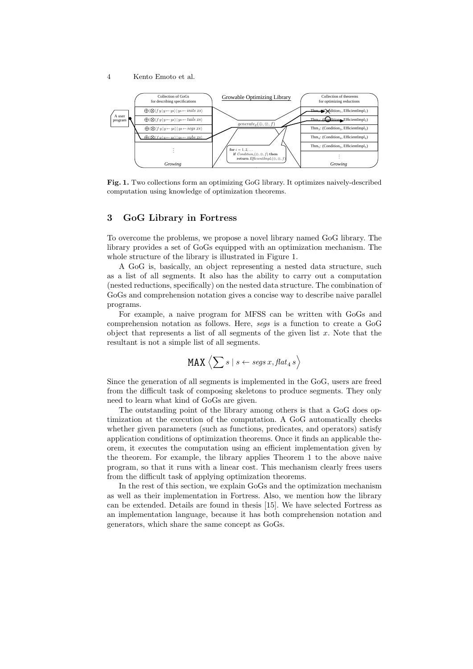

**Fig. 1.** Two collections form an optimizing GoG library. It optimizes naively-described computation using knowledge of optimization theorems.

# **3 GoG Library in Fortress**

To overcome the problems, we propose a novel library named GoG library. The library provides a set of GoGs equipped with an optimization mechanism. The whole structure of the library is illustrated in Figure 1.

A GoG is, basically, an object representing a nested data structure, such as a list of all segments. It also has the ability to carry out a computation (nested reductions, specifically) on the nested data structure. The combination of GoGs and comprehension notation gives a concise way to describe naive parallel programs.

For example, a naive program for MFSS can be written with GoGs and comprehension notation as follows. Here, *segs* is a function to create a GoG object that represents a list of all segments of the given list *x*. Note that the resultant is not a simple list of all segments.

$$
\text{MAX } \left\langle \sum s \mid s \leftarrow \text{segs } x, \text{flat}_4 \, s \right\rangle
$$

Since the generation of all segments is implemented in the GoG, users are freed from the difficult task of composing skeletons to produce segments. They only need to learn what kind of GoGs are given.

The outstanding point of the library among others is that a GoG does optimization at the execution of the computation. A GoG automatically checks whether given parameters (such as functions, predicates, and operators) satisfy application conditions of optimization theorems. Once it finds an applicable theorem, it executes the computation using an efficient implementation given by the theorem. For example, the library applies Theorem 1 to the above naive program, so that it runs with a linear cost. This mechanism clearly frees users from the difficult task of applying optimization theorems.

In the rest of this section, we explain GoGs and the optimization mechanism as well as their implementation in Fortress. Also, we mention how the library can be extended. Details are found in thesis [15]. We have selected Fortress as an implementation language, because it has both comprehension notation and generators, which share the same concept as GoGs.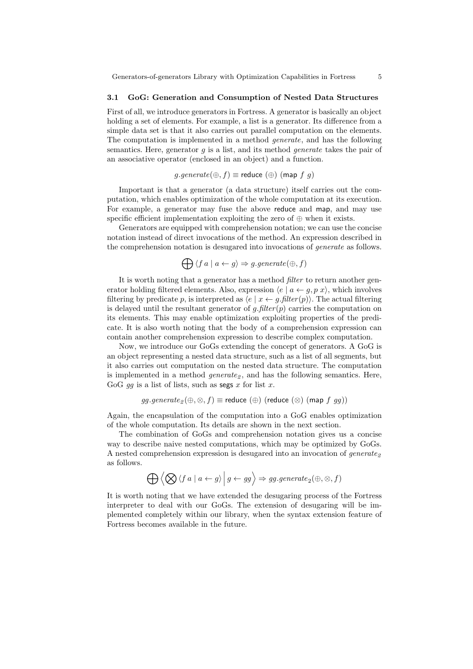#### **3.1 GoG: Generation and Consumption of Nested Data Structures**

First of all, we introduce generators in Fortress. A generator is basically an object holding a set of elements. For example, a list is a generator. Its difference from a simple data set is that it also carries out parallel computation on the elements. The computation is implemented in a method *generate*, and has the following semantics. Here, generator *g* is a list, and its method *generate* takes the pair of an associative operator (enclosed in an object) and a function.

*g.generate*( $⊕, f$ )  $≡$  reduce ( $⊕$ ) (map  $f$   $g$ )

Important is that a generator (a data structure) itself carries out the computation, which enables optimization of the whole computation at its execution. For example, a generator may fuse the above reduce and map, and may use specific efficient implementation exploiting the zero of  $\oplus$  when it exists.

Generators are equipped with comprehension notation; we can use the concise notation instead of direct invocations of the method. An expression described in the comprehension notation is desugared into invocations of *generate* as follows.

$$
\bigoplus \langle f\:a \mid a \leftarrow g \rangle \Rightarrow g.\mathit{generate}(\oplus,f)
$$

It is worth noting that a generator has a method *filter* to return another generator holding filtered elements. Also, expression  $\langle e \mid a \leftarrow g, p \ x \rangle$ , which involves filtering by predicate *p*, is interpreted as  $\langle e \mid x \leftarrow g$ . *filter* $(p)$ . The actual filtering is delayed until the resultant generator of  $g$ . *filter*  $(p)$  carries the computation on its elements. This may enable optimization exploiting properties of the predicate. It is also worth noting that the body of a comprehension expression can contain another comprehension expression to describe complex computation.

Now, we introduce our GoGs extending the concept of generators. A GoG is an object representing a nested data structure, such as a list of all segments, but it also carries out computation on the nested data structure. The computation is implemented in a method *generate<sub>2</sub>*, and has the following semantics. Here, GoG *gg* is a list of lists, such as segs *x* for list *x*.

$$
gg.\text{generate}_{2}(\oplus, \otimes, f) \equiv \text{reduce }(\oplus) \text{ (reduce }(\otimes) \text{ (map } f \text{ } gg))
$$

Again, the encapsulation of the computation into a GoG enables optimization of the whole computation. Its details are shown in the next section.

The combination of GoGs and comprehension notation gives us a concise way to describe naive nested computations, which may be optimized by GoGs. A nested comprehension expression is desugared into an invocation of *generate<sup>2</sup>* as follows.

$$
\bigoplus \left< \bigotimes \left< f\,a \mid a \leftarrow g \right> \Big|\, g \leftarrow gg \right> \Rightarrow gg.\textit{generate}_2(\oplus,\otimes,f)
$$

It is worth noting that we have extended the desugaring process of the Fortress interpreter to deal with our GoGs. The extension of desugaring will be implemented completely within our library, when the syntax extension feature of Fortress becomes available in the future.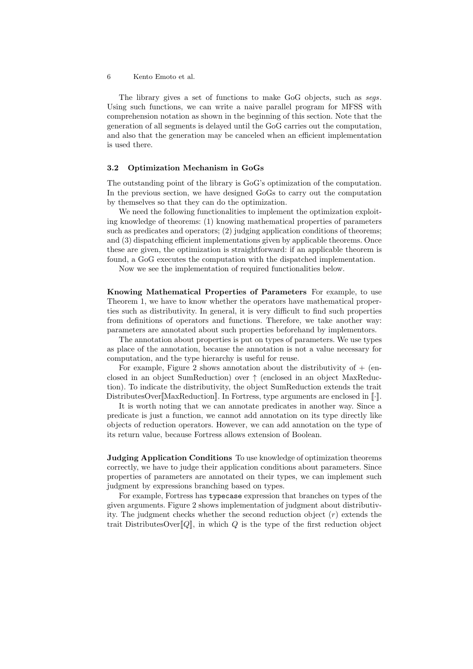The library gives a set of functions to make GoG objects, such as *segs*. Using such functions, we can write a naive parallel program for MFSS with comprehension notation as shown in the beginning of this section. Note that the generation of all segments is delayed until the GoG carries out the computation, and also that the generation may be canceled when an efficient implementation is used there.

#### **3.2 Optimization Mechanism in GoGs**

The outstanding point of the library is GoG's optimization of the computation. In the previous section, we have designed GoGs to carry out the computation by themselves so that they can do the optimization.

We need the following functionalities to implement the optimization exploiting knowledge of theorems: (1) knowing mathematical properties of parameters such as predicates and operators; (2) judging application conditions of theorems; and (3) dispatching efficient implementations given by applicable theorems. Once these are given, the optimization is straightforward: if an applicable theorem is found, a GoG executes the computation with the dispatched implementation.

Now we see the implementation of required functionalities below.

**Knowing Mathematical Properties of Parameters** For example, to use Theorem 1, we have to know whether the operators have mathematical properties such as distributivity. In general, it is very difficult to find such properties from definitions of operators and functions. Therefore, we take another way: parameters are annotated about such properties beforehand by implementors.

The annotation about properties is put on types of parameters. We use types as place of the annotation, because the annotation is not a value necessary for computation, and the type hierarchy is useful for reuse.

For example, Figure 2 shows annotation about the distributivity of  $+$  (enclosed in an object SumReduction) over *↑* (enclosed in an object MaxReduction). To indicate the distributivity, the object SumReduction extends the trait DistributesOver<sup>[MaxReduction]. In Fortress, type arguments are enclosed in  $\llbracket \cdot \rrbracket$ .</sup>

It is worth noting that we can annotate predicates in another way. Since a predicate is just a function, we cannot add annotation on its type directly like objects of reduction operators. However, we can add annotation on the type of its return value, because Fortress allows extension of Boolean.

**Judging Application Conditions** To use knowledge of optimization theorems correctly, we have to judge their application conditions about parameters. Since properties of parameters are annotated on their types, we can implement such judgment by expressions branching based on types.

For example, Fortress has typecase expression that branches on types of the given arguments. Figure 2 shows implementation of judgment about distributivity. The judgment checks whether the second reduction object (*r*) extends the trait DistributesOver<sub>[[Q]</sub>, in which *Q* is the type of the first reduction object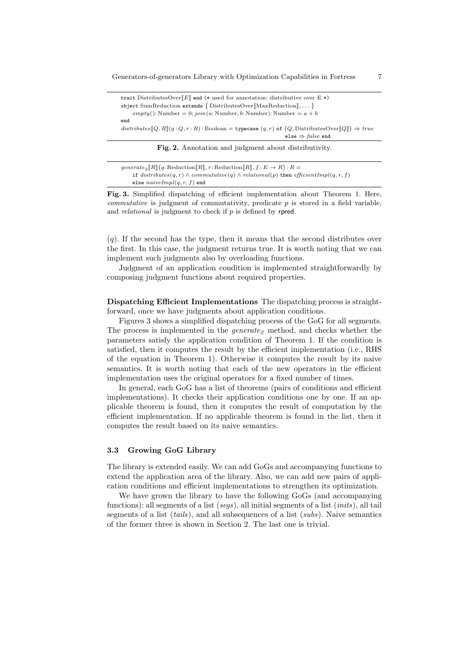| trait DistributesOver $E$ and (* used for annotation: distributive over E *)                                                |  |  |  |  |  |  |
|-----------------------------------------------------------------------------------------------------------------------------|--|--|--|--|--|--|
| object SumReduction extends $\{$ DistributesOver $[\text{MaxReduction}], \dots\}$                                           |  |  |  |  |  |  |
| $empty():$ Number = 0; $join(a:Number, b:Number):$ Number = $a + b$                                                         |  |  |  |  |  |  |
| end                                                                                                                         |  |  |  |  |  |  |
| $distributes[\![Q, R]\!] (q:Q,r:R)$ : Boolean = typecase $(q,r)$ of $(Q, \text{DistributesOver}[\![Q]\!]) \Rightarrow true$ |  |  |  |  |  |  |
| else $\Rightarrow$ false end                                                                                                |  |  |  |  |  |  |
| Fig. 2. Annotation and judgment about distributivity.                                                                       |  |  |  |  |  |  |

| generate <sub>2</sub> $\llbracket R \rrbracket (q: \text{Reduction} \llbracket R \rrbracket, r: \text{Reduction} \llbracket R \rrbracket, f : E \to R) : R =$ |
|---------------------------------------------------------------------------------------------------------------------------------------------------------------|
| if $distributes(q, r) \wedge commutative(q) \wedge relational(p)$ then $efficientImpl(q, r, f)$                                                               |
| else $naiveImpl(q, r, f)$ end                                                                                                                                 |

**Fig. 3.** Simplified dispatching of efficient implementation about Theorem 1. Here, *commutative* is judgment of commutativity, predicate *p* is stored in a field variable, and *relational* is judgment to check if *p* is defined by rpred.

(*q*). If the second has the type, then it means that the second distributes over the first. In this case, the judgment returns true. It is worth noting that we can implement such judgments also by overloading functions.

Judgment of an application condition is implemented straightforwardly by composing judgment functions about required properties.

**Dispatching Efficient Implementations** The dispatching process is straightforward, once we have judgments about application conditions.

Figures 3 shows a simplified dispatching process of the GoG for all segments. The process is implemented in the *generate<sup>2</sup>* method, and checks whether the parameters satisfy the application condition of Theorem 1. If the condition is satisfied, then it computes the result by the efficient implementation (i.e., RHS of the equation in Theorem 1). Otherwise it computes the result by its naive semantics. It is worth noting that each of the new operators in the efficient implementation uses the original operators for a fixed number of times.

In general, each GoG has a list of theorems (pairs of conditions and efficient implementations). It checks their application conditions one by one. If an applicable theorem is found, then it computes the result of computation by the efficient implementation. If no applicable theorem is found in the list, then it computes the result based on its naive semantics.

#### **3.3 Growing GoG Library**

The library is extended easily. We can add GoGs and accompanying functions to extend the application area of the library. Also, we can add new pairs of application conditions and efficient implementations to strengthen its optimization.

We have grown the library to have the following GoGs (and accompanying functions): all segments of a list (*segs*), all initial segments of a list (*inits*), all tail segments of a list (*tails*), and all subsequences of a list (*subs*). Naive semantics of the former three is shown in Section 2. The last one is trivial.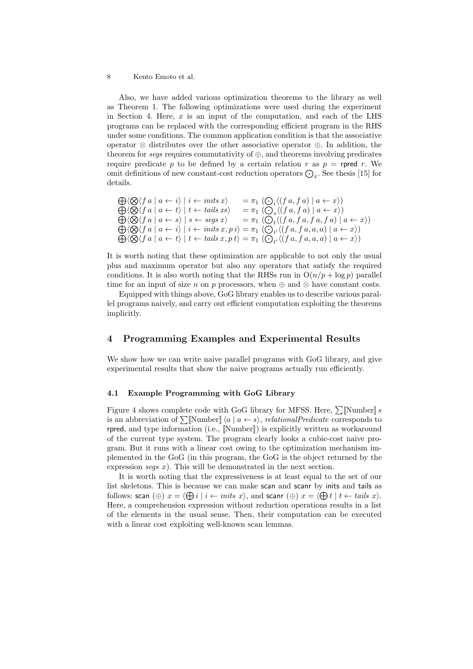Also, we have added various optimization theorems to the library as well as Theorem 1. The following optimizations were used during the experiment in Section 4. Here, *x* is an input of the computation, and each of the LHS programs can be replaced with the corresponding efficient program in the RHS under some conditions. The common application condition is that the associative operator *⊗* distributes over the other associative operator *⊕*. In addition, the theorem for *segs* requires commutativity of *⊕*, and theorems involving predicates require predicate p to be defined by a certain relation r as  $p =$  rpred r. We omit definitions of new constant-cost reduction operators  $\bigodot_x$ . See thesis [15] for details.

$$
\begin{array}{ll}\n\bigoplus \langle \bigotimes \langle f a \mid a \leftarrow i \rangle \mid i \leftarrow \text{inits } x \rangle & = \pi_1 \left( \bigodot_i \langle (f a, f a) \mid a \leftarrow x \rangle \right) \\
\bigoplus \langle \bigotimes \langle f a \mid a \leftarrow t \rangle \mid t \leftarrow \text{tails } xs \rangle & = \pi_1 \left( \bigodot_s \langle (f a, f a) \mid a \leftarrow x \rangle \right) \\
\bigoplus \langle \bigotimes \langle f a \mid a \leftarrow s \rangle \mid s \leftarrow \text{segs } x \rangle & = \pi_1 \left( \bigodot_t \langle (f a, f a, f a, f a) \mid a \leftarrow x \rangle \right) \\
\bigoplus \langle \bigotimes \langle f a \mid a \leftarrow i \rangle \mid i \leftarrow \text{inits } x, p \, i \rangle = \pi_1 \left( \bigodot_{i'} \langle (f a, f a, a, a) \mid a \leftarrow x \rangle \right) \\
\bigoplus \langle \bigotimes \langle f a \mid a \leftarrow t \rangle \mid t \leftarrow \text{tails } x, p \, t \rangle = \pi_1 \left( \bigodot_{t'} \langle (f a, f a, a, a) \mid a \leftarrow x \rangle \right)\n\end{array}
$$

It is worth noting that these optimization are applicable to not only the usual plus and maximum operator but also any operators that satisfy the required conditions. It is also worth noting that the RHSs run in  $O(n/p + \log p)$  parallel time for an input of size *n* on *p* processors, when *⊕* and *⊗* have constant costs.

Equipped with things above, GoG library enables us to describe various parallel programs naively, and carry out efficient computation exploiting the theorems implicitly.

## **4 Programming Examples and Experimental Results**

We show how we can write naive parallel programs with GoG library, and give experimental results that show the naive programs actually run efficiently.

#### **4.1 Example Programming with GoG Library**

Figure 4 shows complete code with GoG library for MFSS. Here,  $\sum \N$ is an abbreviation of  $\sum [\text{Number}] \langle a \mid a \leftarrow s \rangle$ , *relationalPredicate* corresponds to rpred, and type information (i.e., [Number]]) is explicitly written as workaround of the current type system. The program clearly looks a cubic-cost naive program. But it runs with a linear cost owing to the optimization mechanism implemented in the GoG (in this program, the GoG is the object returned by the expression *segs x*). This will be demonstrated in the next section.

It is worth noting that the expressiveness is at least equal to the set of our list skeletons. This is because we can make scan and scanr by inits and tails as follows: scan  $(\oplus)$   $x = \langle \bigoplus i | i \leftarrow \text{inits } x \rangle$ , and scanr  $(\oplus)$   $x = \langle \bigoplus t | t \leftarrow \text{tails } x \rangle$ . Here, a comprehension expression without reduction operations results in a list of the elements in the usual sense. Then, their computation can be executed with a linear cost exploiting well-known scan lemmas.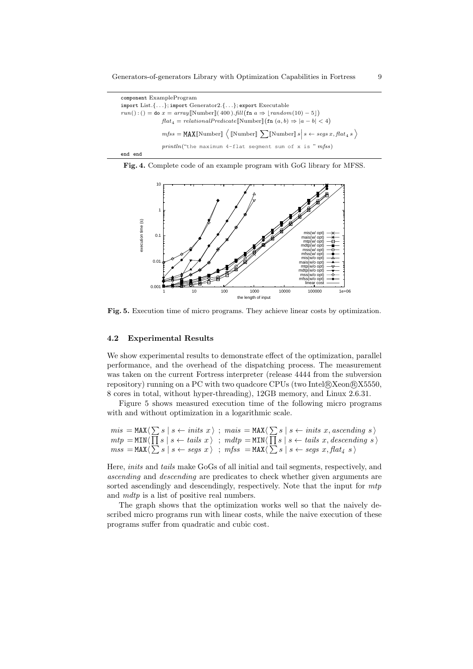| component ExampleProgram                                                                                                          |  |  |  |  |  |  |  |
|-----------------------------------------------------------------------------------------------------------------------------------|--|--|--|--|--|--|--|
| import List. $\{ \ldots \}$ ; import Generator2. $\{ \ldots \}$ ; export Executable                                               |  |  |  |  |  |  |  |
| $run():() = do x = array[Number](400).fill(int a \Rightarrow [random(10) - 5])$                                                   |  |  |  |  |  |  |  |
| $flat_4 = relationalPredictive[\text{Number}](\text{fn}(a, b) \Rightarrow  a - b  < 4)$                                           |  |  |  |  |  |  |  |
| $mfss = \texttt{MAX}[\texttt{Number}] \langle \texttt{[Number]} \sum [\texttt{Number}] s   s \leftarrow segs x, flat_4 s \rangle$ |  |  |  |  |  |  |  |
| $printhn("the maximum 4-flat segment sum of x is "mfss")$                                                                         |  |  |  |  |  |  |  |
| end end                                                                                                                           |  |  |  |  |  |  |  |





**Fig. 5.** Execution time of micro programs. They achieve linear costs by optimization.

#### **4.2 Experimental Results**

We show experimental results to demonstrate effect of the optimization, parallel performance, and the overhead of the dispatching process. The measurement was taken on the current Fortress interpreter (release 4444 from the subversion repository) running on a PC with two quadcore CPUs (two Intel®Xeon®X5550, 8 cores in total, without hyper-threading), 12GB memory, and Linux 2.6.31.

Figure 5 shows measured execution time of the following micro programs with and without optimization in a logarithmic scale.

$$
\begin{array}{l} \mathit{mis} \; = \mathsf{MAX} \langle \, \sum s \mid s \leftarrow \mathit{inits}\; x \, \rangle \; \; ; \; \mathit{mais} \; = \mathsf{MAX} \langle \, \sum s \mid s \leftarrow \mathit{inits}\; x, \mathit{ascending}\; s \, \rangle \\ \mathit{mtp} \; = \mathsf{MIN} \langle \, \prod s \mid s \leftarrow \mathit{tails}\; x \, \rangle \; \; ; \; \mathit{mdp} \; = \mathsf{MIN} \langle \, \prod s \mid s \leftarrow \mathit{tails}\; x, \mathit{descending}\; s \, \rangle \\ \mathit{mss} \; = \mathsf{MAX} \langle \, \sum s \mid s \leftarrow \mathit{segs}\; x \, \rangle \; \; ; \; \mathit{mfss} \; = \mathsf{MAX} \langle \, \sum s \mid s \leftarrow \mathit{segs}\; x, \mathit{flat}_4\; s \, \rangle \end{array}
$$

Here, *inits* and *tails* make GoGs of all initial and tail segments, respectively, and *ascending* and *descending* are predicates to check whether given arguments are sorted ascendingly and descendingly, respectively. Note that the input for *mtp* and *mdtp* is a list of positive real numbers.

The graph shows that the optimization works well so that the naively described micro programs run with linear costs, while the naive execution of these programs suffer from quadratic and cubic cost.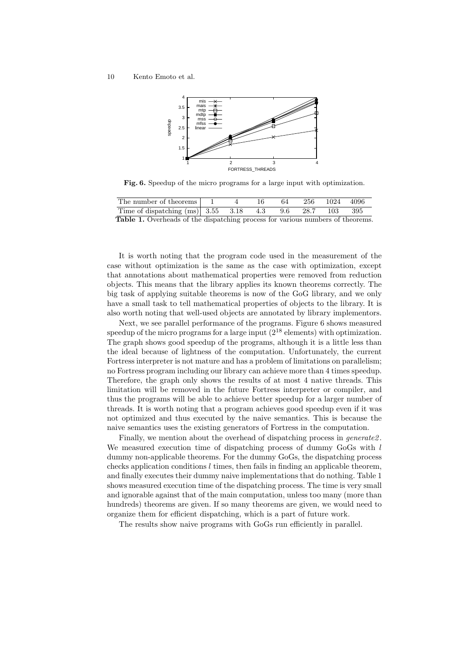

**Fig. 6.** Speedup of the micro programs for a large input with optimization.

| The number of theorems                                                                |  | -64 |  | 256 1024 4096 |
|---------------------------------------------------------------------------------------|--|-----|--|---------------|
| Time of dispatching (ms) 3.55 3.18 4.3 9.6 28.7 103 395                               |  |     |  |               |
| <b>Table 1.</b> Overheads of the dispatching process for various numbers of theorems. |  |     |  |               |

It is worth noting that the program code used in the measurement of the case without optimization is the same as the case with optimization, except that annotations about mathematical properties were removed from reduction objects. This means that the library applies its known theorems correctly. The big task of applying suitable theorems is now of the GoG library, and we only have a small task to tell mathematical properties of objects to the library. It is also worth noting that well-used objects are annotated by library implementors.

Next, we see parallel performance of the programs. Figure 6 shows measured speedup of the micro programs for a large input  $(2^{18}$  elements) with optimization. The graph shows good speedup of the programs, although it is a little less than the ideal because of lightness of the computation. Unfortunately, the current Fortress interpreter is not mature and has a problem of limitations on parallelism; no Fortress program including our library can achieve more than 4 times speedup. Therefore, the graph only shows the results of at most 4 native threads. This limitation will be removed in the future Fortress interpreter or compiler, and thus the programs will be able to achieve better speedup for a larger number of threads. It is worth noting that a program achieves good speedup even if it was not optimized and thus executed by the naive semantics. This is because the naive semantics uses the existing generators of Fortress in the computation.

Finally, we mention about the overhead of dispatching process in *generate2* . We measured execution time of dispatching process of dummy GoGs with *l* dummy non-applicable theorems. For the dummy GoGs, the dispatching process checks application conditions *l* times, then fails in finding an applicable theorem, and finally executes their dummy naive implementations that do nothing. Table 1 shows measured execution time of the dispatching process. The time is very small and ignorable against that of the main computation, unless too many (more than hundreds) theorems are given. If so many theorems are given, we would need to organize them for efficient dispatching, which is a part of future work.

The results show naive programs with GoGs run efficiently in parallel.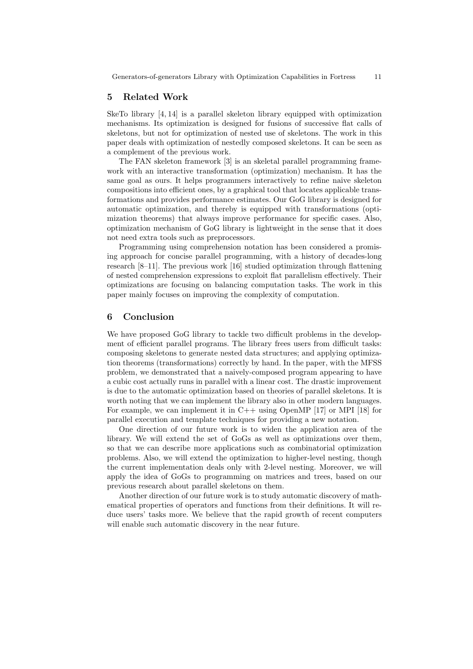## **5 Related Work**

SkeTo library [4, 14] is a parallel skeleton library equipped with optimization mechanisms. Its optimization is designed for fusions of successive flat calls of skeletons, but not for optimization of nested use of skeletons. The work in this paper deals with optimization of nestedly composed skeletons. It can be seen as a complement of the previous work.

The FAN skeleton framework [3] is an skeletal parallel programming framework with an interactive transformation (optimization) mechanism. It has the same goal as ours. It helps programmers interactively to refine naive skeleton compositions into efficient ones, by a graphical tool that locates applicable transformations and provides performance estimates. Our GoG library is designed for automatic optimization, and thereby is equipped with transformations (optimization theorems) that always improve performance for specific cases. Also, optimization mechanism of GoG library is lightweight in the sense that it does not need extra tools such as preprocessors.

Programming using comprehension notation has been considered a promising approach for concise parallel programming, with a history of decades-long research [8–11]. The previous work [16] studied optimization through flattening of nested comprehension expressions to exploit flat parallelism effectively. Their optimizations are focusing on balancing computation tasks. The work in this paper mainly focuses on improving the complexity of computation.

# **6 Conclusion**

We have proposed GoG library to tackle two difficult problems in the development of efficient parallel programs. The library frees users from difficult tasks: composing skeletons to generate nested data structures; and applying optimization theorems (transformations) correctly by hand. In the paper, with the MFSS problem, we demonstrated that a naively-composed program appearing to have a cubic cost actually runs in parallel with a linear cost. The drastic improvement is due to the automatic optimization based on theories of parallel skeletons. It is worth noting that we can implement the library also in other modern languages. For example, we can implement it in  $C++$  using OpenMP [17] or MPI [18] for parallel execution and template techniques for providing a new notation.

One direction of our future work is to widen the application area of the library. We will extend the set of GoGs as well as optimizations over them, so that we can describe more applications such as combinatorial optimization problems. Also, we will extend the optimization to higher-level nesting, though the current implementation deals only with 2-level nesting. Moreover, we will apply the idea of GoGs to programming on matrices and trees, based on our previous research about parallel skeletons on them.

Another direction of our future work is to study automatic discovery of mathematical properties of operators and functions from their definitions. It will reduce users' tasks more. We believe that the rapid growth of recent computers will enable such automatic discovery in the near future.